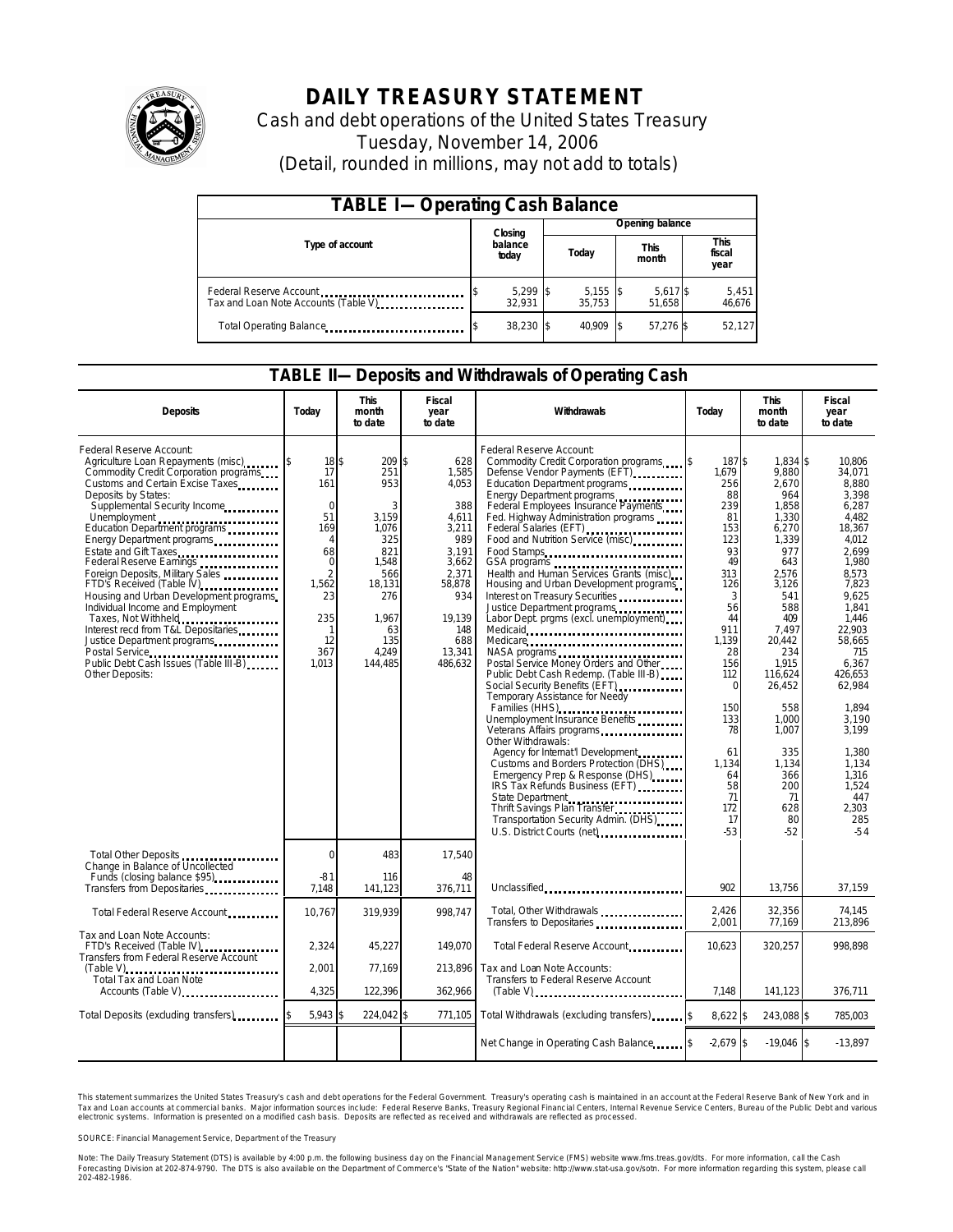

# **DAILY TREASURY STATEMENT**

Cash and debt operations of the United States Treasury Tuesday, November 14, 2006 (Detail, rounded in millions, may not add to totals)

| <b>TABLE I-Operating Cash Balance</b>                           |  |                      |  |                      |  |                      |                 |                               |  |  |
|-----------------------------------------------------------------|--|----------------------|--|----------------------|--|----------------------|-----------------|-------------------------------|--|--|
|                                                                 |  | Closing              |  |                      |  |                      | Opening balance |                               |  |  |
| Type of account                                                 |  | balance<br>today     |  | Today                |  | <b>This</b><br>month |                 | <b>This</b><br>fiscal<br>year |  |  |
| Federal Reserve Account<br>Tax and Loan Note Accounts (Table V) |  | $5,299$ \$<br>32.931 |  | $5,155$ \$<br>35.753 |  | 5,617 \$<br>51.658   |                 | 5,451<br>46,676               |  |  |
| Total Operating Balance                                         |  | 38,230 \$            |  | 40.909               |  | 57.276 \$            |                 | 52,127                        |  |  |

### **TABLE II—Deposits and Withdrawals of Operating Cash**

| <b>Deposits</b>                                                                                                                                                                                                                                                                                                                                                                                                                                                                                                                                                                                                                                | Today                                                                                                                                               | <b>This</b><br>month<br>to date                                                                                                      | Fiscal<br>year<br>to date                                                                                                                      | Withdrawals                                                                                                                                                                                                                                                                                                                                                                                                                                                                                                                                                                                                                                                                                                                                                                                                                                                                                                                                                                                                                                                                                                      | Today                                                                                                                                                                                                                        | <b>This</b><br>month<br>to date                                                                                                                                                                                                                                     |                                                                                                                                                                                                                                                                                                |
|------------------------------------------------------------------------------------------------------------------------------------------------------------------------------------------------------------------------------------------------------------------------------------------------------------------------------------------------------------------------------------------------------------------------------------------------------------------------------------------------------------------------------------------------------------------------------------------------------------------------------------------------|-----------------------------------------------------------------------------------------------------------------------------------------------------|--------------------------------------------------------------------------------------------------------------------------------------|------------------------------------------------------------------------------------------------------------------------------------------------|------------------------------------------------------------------------------------------------------------------------------------------------------------------------------------------------------------------------------------------------------------------------------------------------------------------------------------------------------------------------------------------------------------------------------------------------------------------------------------------------------------------------------------------------------------------------------------------------------------------------------------------------------------------------------------------------------------------------------------------------------------------------------------------------------------------------------------------------------------------------------------------------------------------------------------------------------------------------------------------------------------------------------------------------------------------------------------------------------------------|------------------------------------------------------------------------------------------------------------------------------------------------------------------------------------------------------------------------------|---------------------------------------------------------------------------------------------------------------------------------------------------------------------------------------------------------------------------------------------------------------------|------------------------------------------------------------------------------------------------------------------------------------------------------------------------------------------------------------------------------------------------------------------------------------------------|
| Federal Reserve Account:<br>Agriculture Loan Repayments (misc)<br>Commodity Credit Corporation programs<br>Customs and Certain Excise Taxes<br>Deposits by States:<br>Supplemental Security Income<br>Unemployment<br>Education Department programs<br>Energy Department programs<br>Estate and Gift Taxes<br>Federal Reserve Earnings<br>Foreign Deposits, Military Sales<br>FTD's Received (Table IV)<br>Housing and Urban Development programs<br>Individual Income and Employment<br>Taxes, Not Withheld<br>Interest recd from T&L Depositaries<br>Justice Department programs<br>Public Debt Cash Issues (Table III-B)<br>Other Deposits: | 18S<br>17<br>161<br>$\Omega$<br>51<br>169<br>$\overline{4}$<br>68<br>$\mathbf 0$<br>$\overline{2}$<br>1,562<br>23<br>235<br>1<br>12<br>367<br>1.013 | 209 \$<br>251<br>953<br>3<br>3.159<br>1.076<br>325<br>821<br>1,548<br>566<br>18,131<br>276<br>1,967<br>63<br>135<br>4.249<br>144,485 | 628<br>1,585<br>4,053<br>388<br>4.611<br>3,211<br>989<br>3,191<br>3,662<br>2.371<br>58,878<br>934<br>19,139<br>148<br>688<br>13,341<br>486.632 | Federal Reserve Account:<br>Commodity Credit Corporation programs [\$<br>Defense Vendor Payments (EFT)<br>Education Department programs<br>Energy Department programs<br>Federal Employees Insurance Payments<br>Fed. Highway Administration programs<br>Federal Salaries (EFT)<br>Food and Nutrition Service (misc)<br>Food Stamps<br>Health and Human Services Grants (misc)<br>Housing and Urban Development programs<br>Interest on Treasury Securities<br>Justice Department programs<br>Labor Dept. prgms (excl. unemployment)<br>Medicare<br>NASA programs<br>Postal Service Money Orders and Other<br>Public Debt Cash Redemp. (Table III-B)<br>Social Security Benefits (EFT)<br><br>Temporary Assistance for Needy<br>Families (HHS)<br>Unemployment Insurance Benefits<br>Veterans Affairs programs<br>Other Withdrawals:<br>Agency for Internat'l Development<br>Customs and Borders Protection (DHS)<br>Emergency Prep & Response (DHS)<br>IRS Tax Refunds Business (EFT)<br>State Department<br>Thrift Savings Plan Transfer<br>Transportation Security Admin. (DHS)<br>U.S. District Courts (net) | 187\$<br>1,679<br>256<br>88<br>239<br>81<br>153<br>123<br>93<br>49<br>313<br>126<br>3<br>56<br>44<br>911<br>1,139<br>28<br>156<br>112<br>$\Omega$<br>150<br>133<br>78<br>61<br>1.134<br>64<br>58<br>71<br>172<br>17<br>$-53$ | 1.834 \$<br>9,880<br>2,670<br>964<br>1,858<br>1,330<br>6,270<br>1,339<br>977<br>643<br>2.576<br>3,126<br>541<br>588<br>409<br>7.497<br>20,442<br>234<br>1.915<br>116,624<br>26,452<br>558<br>1.000<br>1,007<br>335<br>1.134<br>366<br>200<br>71<br>628<br>80<br>-52 | 10.806<br>34,071<br>8,880<br>3.398<br>6,287<br>4.482<br>18,367<br>4,012<br>2.699<br>1,980<br>8.573<br>7,823<br>9.625<br>1.841<br>1,446<br>22.903<br>58,665<br>715<br>6.367<br>426.653<br>62.984<br>1.894<br>3.190<br>3.199<br>1.380<br>1.134<br>1,316<br>1,524<br>447<br>2.303<br>285<br>$-54$ |
| Total Other Deposits<br>Change in Balance of Uncollected<br>Funds (closing balance \$95)                                                                                                                                                                                                                                                                                                                                                                                                                                                                                                                                                       | $\mathbf 0$<br>$-81$                                                                                                                                | 483<br>116                                                                                                                           | 17,540<br>48                                                                                                                                   |                                                                                                                                                                                                                                                                                                                                                                                                                                                                                                                                                                                                                                                                                                                                                                                                                                                                                                                                                                                                                                                                                                                  |                                                                                                                                                                                                                              |                                                                                                                                                                                                                                                                     |                                                                                                                                                                                                                                                                                                |
| Transfers from Depositaries                                                                                                                                                                                                                                                                                                                                                                                                                                                                                                                                                                                                                    | 7.148                                                                                                                                               | 141,123                                                                                                                              | 376,711                                                                                                                                        | Unclassified                                                                                                                                                                                                                                                                                                                                                                                                                                                                                                                                                                                                                                                                                                                                                                                                                                                                                                                                                                                                                                                                                                     | 902                                                                                                                                                                                                                          | 13,756                                                                                                                                                                                                                                                              | 37,159                                                                                                                                                                                                                                                                                         |
| Total Federal Reserve Account                                                                                                                                                                                                                                                                                                                                                                                                                                                                                                                                                                                                                  | 10,767                                                                                                                                              | 319,939                                                                                                                              | 998.747                                                                                                                                        | Total, Other Withdrawals<br>Transfers to Depositaries                                                                                                                                                                                                                                                                                                                                                                                                                                                                                                                                                                                                                                                                                                                                                                                                                                                                                                                                                                                                                                                            | 2.426<br>2.001                                                                                                                                                                                                               | 32.356<br>77,169                                                                                                                                                                                                                                                    | 74.145<br>213,896                                                                                                                                                                                                                                                                              |
| Tax and Loan Note Accounts:<br>FTD's Received (Table IV)<br>Transfers from Federal Reserve Account                                                                                                                                                                                                                                                                                                                                                                                                                                                                                                                                             | 2,324                                                                                                                                               | 45,227                                                                                                                               | 149,070                                                                                                                                        | Total Federal Reserve Account                                                                                                                                                                                                                                                                                                                                                                                                                                                                                                                                                                                                                                                                                                                                                                                                                                                                                                                                                                                                                                                                                    | 10,623                                                                                                                                                                                                                       | 320,257                                                                                                                                                                                                                                                             | 998,898                                                                                                                                                                                                                                                                                        |
| Total Tax and Loan Note<br>Accounts (Table V)                                                                                                                                                                                                                                                                                                                                                                                                                                                                                                                                                                                                  | 2,001<br>4,325                                                                                                                                      | 77,169<br>122,396                                                                                                                    | 213,896<br>362,966                                                                                                                             | Tax and Loan Note Accounts:<br>Transfers to Federal Reserve Account                                                                                                                                                                                                                                                                                                                                                                                                                                                                                                                                                                                                                                                                                                                                                                                                                                                                                                                                                                                                                                              | 7.148                                                                                                                                                                                                                        | 141,123                                                                                                                                                                                                                                                             | 376,711                                                                                                                                                                                                                                                                                        |
| Total Deposits (exduding transfers)                                                                                                                                                                                                                                                                                                                                                                                                                                                                                                                                                                                                            | $5.943$ \$                                                                                                                                          | 224,042 \$                                                                                                                           | 771,105                                                                                                                                        | Total Withdrawals (excluding transfers) states                                                                                                                                                                                                                                                                                                                                                                                                                                                                                                                                                                                                                                                                                                                                                                                                                                                                                                                                                                                                                                                                   | $8.622$ \$                                                                                                                                                                                                                   | 243,088 \$                                                                                                                                                                                                                                                          | 785.003                                                                                                                                                                                                                                                                                        |
|                                                                                                                                                                                                                                                                                                                                                                                                                                                                                                                                                                                                                                                |                                                                                                                                                     |                                                                                                                                      |                                                                                                                                                | Net Change in Operating Cash Balance [8]                                                                                                                                                                                                                                                                                                                                                                                                                                                                                                                                                                                                                                                                                                                                                                                                                                                                                                                                                                                                                                                                         | $-2,679$ \$                                                                                                                                                                                                                  | $-19.046$ \$                                                                                                                                                                                                                                                        | $-13,897$                                                                                                                                                                                                                                                                                      |

This statement summarizes the United States Treasury's cash and debt operations for the Federal Government. Treasury's operating cash is maintained in an account at the Federal Reserve Bank of New York and in Tax and Loan accounts at commercial banks. Major information sources include: Federal Reserve Banks, Treasury Regional Financial Centers, Internal Revenue Service Centers, Bureau of the Public Debt and various<br>electronic s

SOURCE: Financial Management Service, Department of the Treasury

Note: The Daily Treasury Statement (DTS) is available by 4:00 p.m. the following business day on the Financial Management Service (FMS) website www.fms.treas.gov/dts.<br>Forecasting Division at 202-874-9790. The DTS is also a 'S) is available by 4:00 p.m. the following business day on the Financial Management Service (FMS) website www.fms.treas.gov/dts. For more information, call the Cash<br>The DTS is also available on the Department of Commerce'